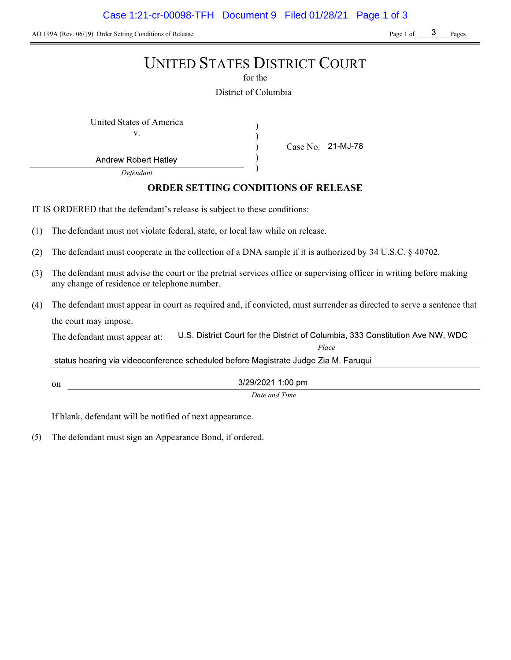AO 199A (Rev. 06/19) Order Setting Conditions of Release Page 1 of Page 1 of Page 1 of Pages

# UNITED STATES DISTRICT COURT for the District of Columbia United States of America (1992) v. ) Case No. ) ) **Andrew Robert Hatley** ) Defendant ORDER SETTING CONDITIONS OF RELEASE IT IS ORDERED that the defendant's release is subject to these conditions:  $(1)$ The defendant must not violate federal, state, or local law while on release.  $(2)$ The defendant must cooperate in the collection of a DNA sample if it is authorized by  $34 \text{ U.S.C.}$   $\S$  40702. The defendant must advise the court or the pretrial services office or supervising officer in writing before making  $(3)$ any change of residence or telephone number. The defendant must appear in court as required and, if convicted, must surrender as directed to serve a sentence that the court may impose. U.S. District Court for the District of Columbia, 333 Constitution Ave NW, WDC The defendant must appear at: Place status hearing via videoconference scheduled before Magistrate Judge Zia M. Faruqui 3/29/2021 1:00 pm on Date and Time

If blank, defendant will be notified of next appearance.

(5) The defendant must sign an Appearance Bond, if ordered.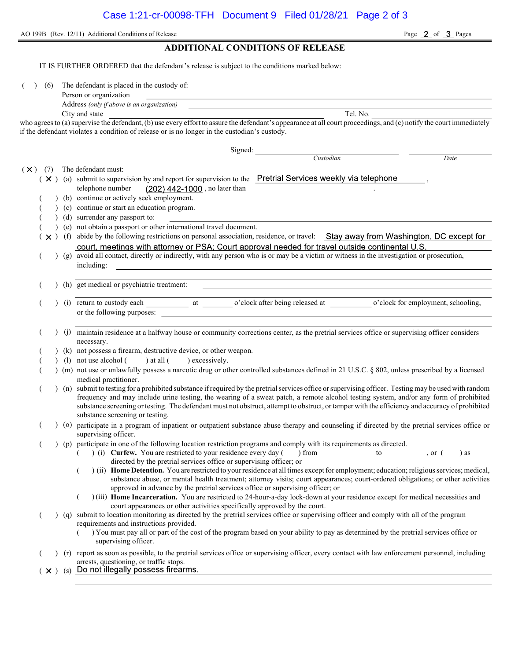AO 199B (Rev. 12/11) Additional Conditions of Release Page 2 of 3 Pages ADDITIONAL CONDITIONS OF RELEASE

IT IS FURTHER ORDERED that the defendant's release is subject to the conditions marked below: (6) The defendant is placed in the custody of: Person or organization Address (only if above is an organization) City and state Tel. No. who agrees to (a) supervise the defendant, (b) use every effort to assure the defendant's appearance at all court proceedings, and (c) notify the court immediately if the defendant violates a condition of release or is no longer in the custodian's custody. Signed: Custodian Date  $(\times)$  (7) The defendant must:  $(X)$  (a) submit to supervision by and report for supervision to the Pretrial Services weekly via telephone telephone number  $(202)$  442-1000, no later than (b) continue or actively seek employment. ( ) (c) continue or start an education program. ( ) (d) surrender any passport to: ( ) (e) not obtain a passport or other international travel document.  $(x)$  (f) abide by the following restrictions on personal association, residence, or travel: Stay away from Washington, DC except for (g) avoid all contact, directly or indirectly, with any person who is or may be a victim or witness in the investigation or prosecution, including: ( ) (h) get medical or psychiatric treatment: (i) return to custody each at o'clock after being released at o'clock for employment, schooling, or the following purposes: ( ) (j) maintain residence at a halfway house or community corrections center, as the pretrial services office or supervising officer considers necessary. (k) not possess a firearm, destructive device, or other weapon. (1) not use alcohol  $($  ) at all  $($  ) excessively. ( ) (m) not use or unlawfully possess a narcotic drug or other controlled substances defined in 21 U.S.C. § 802, unless prescribed by a licensed medical practitioner. ( ) (n) submit to testing for a prohibited substance if required by the pretrial services office or supervising officer. Testing may be used with random frequency and may include urine testing, the wearing of a sweat patch, a remote alcohol testing system, and/or any form of prohibited substance screening or testing. The defendant must not obstruct, attempt to obstruct, or tamper with the efficiency and accuracy of prohibited substance screening or testing. ( ) (o) participate in a program of inpatient or outpatient substance abuse therapy and counseling if directed by the pretrial services office or supervising officer. (a) (p) participate in one of the following location restriction programs and comply with its requirements as directed.<br>(b) (i) Curfew. You are restricted to your residence every day (b) from the state of the state of the  $($   $)$  (i) Curfew. You are restricted to your residence every day () from to , or () as directed by the pretrial services office or supervising officer; or  $($ ) (ii) Home Detention. You are restricted to your residence at all times except for employment; education; religious services; medical, substance abuse, or mental health treatment; attorney visits; court appearances; court-ordered obligations; or other activities approved in advance by the pretrial services office or supervising officer; or ( ) (iii) Home Incarceration. You are restricted to 24-hour-a-day lock-down at your residence except for medical necessities and court appearances or other activities specifically approved by the court. ( ) (q) submit to location monitoring as directed by the pretrial services office or supervising officer and comply with all of the program requirements and instructions provided. ( ) You must pay all or part of the cost of the program based on your ability to pay as determined by the pretrial services office or supervising officer. ( ) (r) report as soon as possible, to the pretrial services office or supervising officer, every contact with law enforcement personnel, including arrests, questioning, or traffic stops.  $(\times)$  (s) Do not illegally possess firearms.